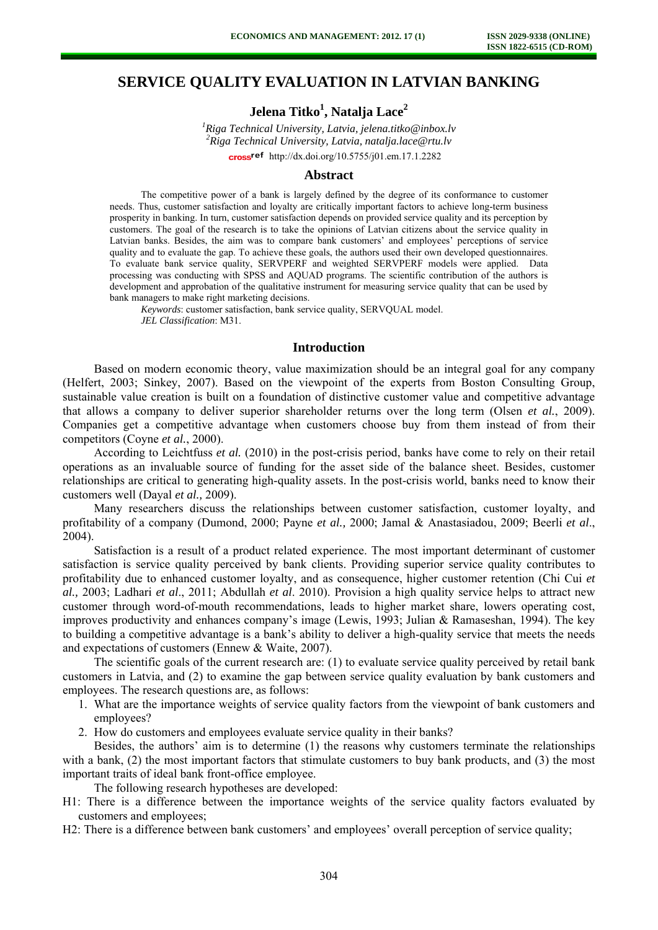## **SERVICE QUALITY EVALUATION IN LATVIAN BANKING**

# ${\rm Jelena\;Titko}^1,$  Natalja  ${\rm Lace}^2$

*1 Riga Technical University, Latvia, jelena.titko@inbox.lv 2 Riga Technical University, Latvia, natalja.lace@rtu.lv*  cross<sup>ref</sup> [http://dx.doi.org/10.5755/j01.e](http://dx.doi.org/10.5755/j01.em.17.1.2282)m.17.1.2282

#### **Abstract**

The competitive power of a bank is largely defined by the degree of its conformance to customer needs. Thus, customer satisfaction and loyalty are critically important factors to achieve long-term business prosperity in banking. In turn, customer satisfaction depends on provided service quality and its perception by customers. The goal of the research is to take the opinions of Latvian citizens about the service quality in Latvian banks. Besides, the aim was to compare bank customers' and employees' perceptions of service quality and to evaluate the gap. To achieve these goals, the authors used their own developed questionnaires. To evaluate bank service quality, SERVPERF and weighted SERVPERF models were applied. Data processing was conducting with SPSS and AQUAD programs. The scientific contribution of the authors is development and approbation of the qualitative instrument for measuring service quality that can be used by bank managers to make right marketing decisions.

*Keywords*: customer satisfaction, bank service quality, SERVQUAL model. *JEL Classification*: M31.

#### **Introduction**

Based on modern economic theory, value maximization should be an integral goal for any company (Helfert, 2003; Sinkey, 2007). Based on the viewpoint of the experts from Boston Consulting Group, sustainable value creation is built on a foundation of distinctive customer value and competitive advantage that allows a company to deliver superior shareholder returns over the long term (Olsen *et al.*, 2009). Companies get a competitive advantage when customers choose buy from them instead of from their competitors (Coyne *et al.*, 2000).

According to Leichtfuss *et al.* (2010) in the post-crisis period, banks have come to rely on their retail operations as an invaluable source of funding for the asset side of the balance sheet. Besides, customer relationships are critical to generating high-quality assets. In the post-crisis world, banks need to know their customers well (Dayal *et al.,* 2009).

Many researchers discuss the relationships between customer satisfaction, customer loyalty, and profitability of a company (Dumond, 2000; Payne *et al.,* 2000; Jamal & Anastasiadou, 2009; Beerli *et al*., 2004).

Satisfaction is a result of a product related experience. The most important determinant of customer satisfaction is service quality perceived by bank clients. Providing superior service quality contributes to profitability due to enhanced customer loyalty, and as consequence, higher customer retention (Chi Cui *et al.,* 2003; Ladhari *et al*., 2011; Abdullah *et al*. 2010). Provision a high quality service helps to attract new customer through word-of-mouth recommendations, leads to higher market share, lowers operating cost, improves productivity and enhances company's image (Lewis, 1993; Julian & Ramaseshan, 1994). The key to building a competitive advantage is a bank's ability to deliver a high-quality service that meets the needs and expectations of customers (Ennew & Waite, 2007).

The scientific goals of the current research are: (1) to evaluate service quality perceived by retail bank customers in Latvia, and (2) to examine the gap between service quality evaluation by bank customers and employees. The research questions are, as follows:

- 1. What are the importance weights of service quality factors from the viewpoint of bank customers and employees?
- 2. How do customers and employees evaluate service quality in their banks?

Besides, the authors' aim is to determine (1) the reasons why customers terminate the relationships with a bank, (2) the most important factors that stimulate customers to buy bank products, and (3) the most important traits of ideal bank front-office employee.

The following research hypotheses are developed:

- H1: There is a difference between the importance weights of the service quality factors evaluated by customers and employees;
- H2: There is a difference between bank customers' and employees' overall perception of service quality;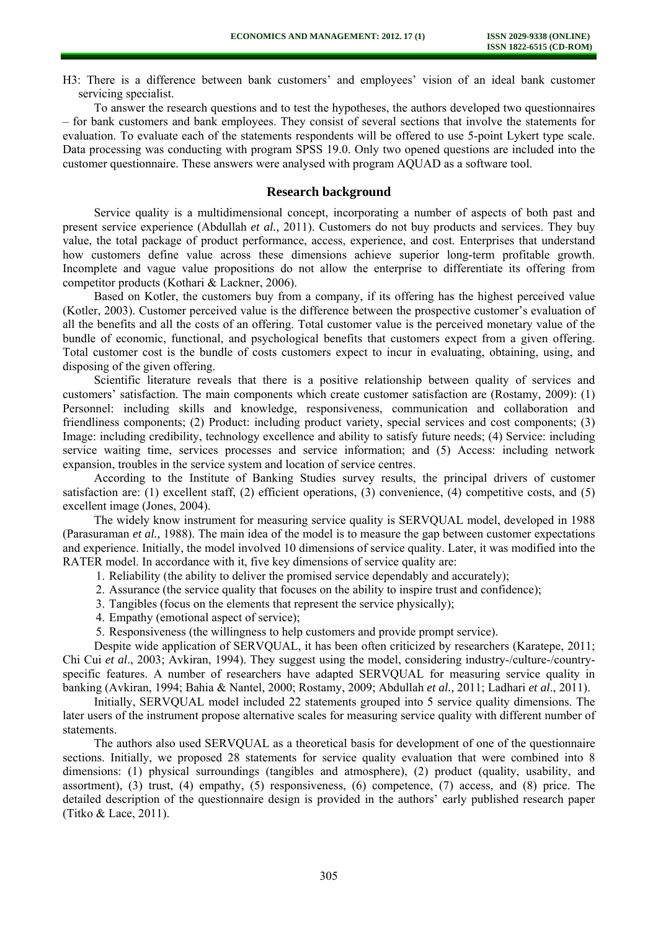H3: There is a difference between bank customers' and employees' vision of an ideal bank customer servicing specialist.

To answer the research questions and to test the hypotheses, the authors developed two questionnaires – for bank customers and bank employees. They consist of several sections that involve the statements for evaluation. To evaluate each of the statements respondents will be offered to use 5-point Lykert type scale. Data processing was conducting with program SPSS 19.0. Only two opened questions are included into the customer questionnaire. These answers were analysed with program AQUAD as a software tool.

#### **Research background**

Service quality is a multidimensional concept, incorporating a number of aspects of both past and present service experience (Abdullah *et al.,* 2011). Customers do not buy products and services. They buy value, the total package of product performance, access, experience, and cost. Enterprises that understand how customers define value across these dimensions achieve superior long-term profitable growth. Incomplete and vague value propositions do not allow the enterprise to differentiate its offering from competitor products (Kothari & Lackner, 2006).

Based on Kotler, the customers buy from a company, if its offering has the highest perceived value (Kotler, 2003). Customer perceived value is the difference between the prospective customer's evaluation of all the benefits and all the costs of an offering. Total customer value is the perceived monetary value of the bundle of economic, functional, and psychological benefits that customers expect from a given offering. Total customer cost is the bundle of costs customers expect to incur in evaluating, obtaining, using, and disposing of the given offering.

Scientific literature reveals that there is a positive relationship between quality of services and customers' satisfaction. The main components which create customer satisfaction are (Rostamy, 2009): (1) Personnel: including skills and knowledge, responsiveness, communication and collaboration and friendliness components; (2) Product: including product variety, special services and cost components; (3) Image: including credibility, technology excellence and ability to satisfy future needs; (4) Service: including service waiting time, services processes and service information; and (5) Access: including network expansion, troubles in the service system and location of service centres.

According to the Institute of Banking Studies survey results, the principal drivers of customer satisfaction are: (1) excellent staff, (2) efficient operations, (3) convenience, (4) competitive costs, and (5) excellent image (Jones, 2004).

The widely know instrument for measuring service quality is SERVQUAL model, developed in 1988 (Parasuraman *et al.,* 1988). The main idea of the model is to measure the gap between customer expectations and experience. Initially, the model involved 10 dimensions of service quality. Later, it was modified into the RATER model. In accordance with it, five key dimensions of service quality are:

- 1. Reliability (the ability to deliver the promised service dependably and accurately);
- 2. Assurance (the service quality that focuses on the ability to inspire trust and confidence);
- 3. Tangibles (focus on the elements that represent the service physically);
- 4. Empathy (emotional aspect of service);
- 5. Responsiveness (the willingness to help customers and provide prompt service).

Despite wide application of SERVQUAL, it has been often criticized by researchers (Karatepe, 2011; Chi Cui *et al*., 2003; Avkiran, 1994). They suggest using the model, considering industry-/culture-/countryspecific features. A number of researchers have adapted SERVQUAL for measuring service quality in banking (Avkiran, 1994; Bahia & Nantel, 2000; Rostamy, 2009; Abdullah *et al.,* 2011; Ladhari *et al*., 2011).

Initially, SERVQUAL model included 22 statements grouped into 5 service quality dimensions. The later users of the instrument propose alternative scales for measuring service quality with different number of statements.

The authors also used SERVQUAL as a theoretical basis for development of one of the questionnaire sections. Initially, we proposed 28 statements for service quality evaluation that were combined into 8 dimensions: (1) physical surroundings (tangibles and atmosphere), (2) product (quality, usability, and assortment), (3) trust, (4) empathy, (5) responsiveness, (6) competence, (7) access, and (8) price. The detailed description of the questionnaire design is provided in the authors' early published research paper (Titko & Lace, 2011).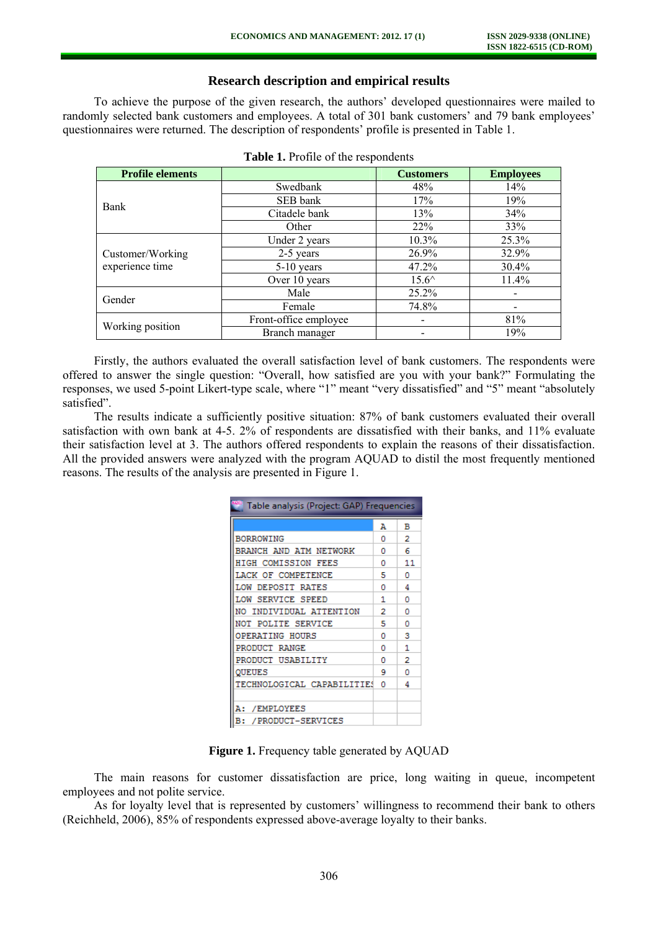### **Research description and empirical results**

To achieve the purpose of the given research, the authors' developed questionnaires were mailed to randomly selected bank customers and employees. A total of 301 bank customers' and 79 bank employees' questionnaires were returned. The description of respondents' profile is presented in Table 1.

| <b>Profile elements</b>             |                       | <b>Customers</b> | <b>Employees</b> |
|-------------------------------------|-----------------------|------------------|------------------|
|                                     | Swedbank              | 48%              | 14%              |
| <b>Bank</b>                         | SEB bank              | 17%              | 19%              |
|                                     | Citadele bank         | 13%              | 34%              |
|                                     | Other                 | 22%              | 33%              |
| Customer/Working<br>experience time | Under 2 years         | $10.3\%$         | 25.3%            |
|                                     | 2-5 years             | 26.9%            | 32.9%            |
|                                     | $5-10$ years          | 47.2%            | 30.4%            |
|                                     | Over 10 years         | $15.6^{\wedge}$  | 11.4%            |
| Gender                              | Male                  | 25.2%            |                  |
|                                     | Female                | 74.8%            |                  |
| Working position                    | Front-office employee |                  | 81%              |
|                                     | Branch manager        |                  | 19%              |

|  |  |  | Table 1. Profile of the respondents |
|--|--|--|-------------------------------------|
|--|--|--|-------------------------------------|

Firstly, the authors evaluated the overall satisfaction level of bank customers. The respondents were offered to answer the single question: "Overall, how satisfied are you with your bank?" Formulating the responses, we used 5-point Likert-type scale, where "1" meant "very dissatisfied" and "5" meant "absolutely satisfied".

The results indicate a sufficiently positive situation: 87% of bank customers evaluated their overall satisfaction with own bank at 4-5. 2% of respondents are dissatisfied with their banks, and 11% evaluate their satisfaction level at 3. The authors offered respondents to explain the reasons of their dissatisfaction. All the provided answers were analyzed with the program AQUAD to distil the most frequently mentioned reasons. The results of the analysis are presented in Figure 1.

| Table analysis (Project: GAP) Frequencies |   |    |  |  |
|-------------------------------------------|---|----|--|--|
|                                           | А | в  |  |  |
| BORROWING                                 | ٥ | 2  |  |  |
| BRANCH AND ATM NETWORK                    | n | ĸ  |  |  |
| HIGH COMISSION FEES                       | n | 11 |  |  |
| LACK OF COMPETENCE                        | 5 | n  |  |  |
| LOW DEPOSIT RATES                         | n | 4  |  |  |
| LOW SERVICE SPEED                         | 1 | n  |  |  |
| NO INDIVIDUAL ATTENTION                   | 2 | n  |  |  |
| NOT POLITE SERVICE                        | 5 | n  |  |  |
| OPERATING HOURS                           | n | 3  |  |  |
| PRODUCT RANGE                             | n | 1  |  |  |
| PRODUCT USABILITY                         | n | 2  |  |  |
| QUEUES                                    | ٩ | n  |  |  |
| TECHNOLOGICAL CAPABILITIES                | o | 4  |  |  |
| A: /EMPLOYEES                             |   |    |  |  |
| / PRODUCT-SERVICES                        |   |    |  |  |

**Figure 1.** Frequency table generated by AQUAD

The main reasons for customer dissatisfaction are price, long waiting in queue, incompetent employees and not polite service.

As for loyalty level that is represented by customers' willingness to recommend their bank to others (Reichheld, 2006), 85% of respondents expressed above-average loyalty to their banks.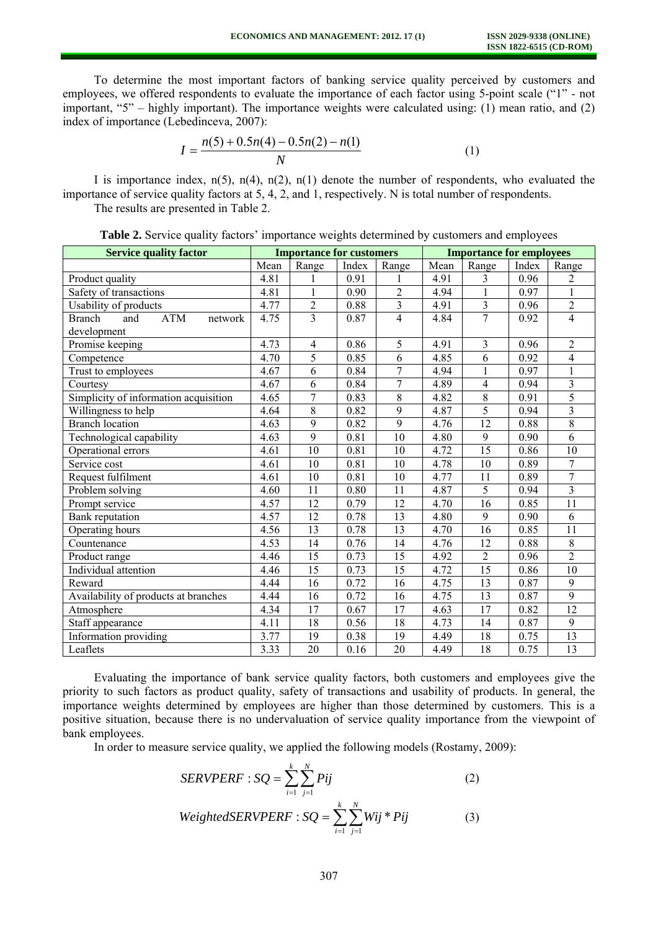To determine the most important factors of banking service quality perceived by customers and employees, we offered respondents to evaluate the importance of each factor using 5-point scale ("1" - not important, "5" – highly important). The importance weights were calculated using: (1) mean ratio, and (2) index of importance (Lebedinceva, 2007):

$$
I = \frac{n(5) + 0.5n(4) - 0.5n(2) - n(1)}{N}
$$
 (1)

I is importance index,  $n(5)$ ,  $n(4)$ ,  $n(2)$ ,  $n(1)$  denote the number of respondents, who evaluated the importance of service quality factors at 5, 4, 2, and 1, respectively. N is total number of respondents. The results are presented in Table 2.

| <b>Service quality factor</b>                 | <b>Importance for customers</b> |                 | <b>Importance for employees</b> |                         |      |                         |       |                         |
|-----------------------------------------------|---------------------------------|-----------------|---------------------------------|-------------------------|------|-------------------------|-------|-------------------------|
|                                               | Mean                            | Range           | Index                           | Range                   | Mean | Range                   | Index | Range                   |
| Product quality                               | 4.81                            | $\mathbf{1}$    | 0.91                            | $\mathbf{1}$            | 4.91 | $\overline{3}$          | 0.96  | $\overline{2}$          |
| Safety of transactions                        | 4.81                            | $\mathbf{1}$    | 0.90                            | $\overline{2}$          | 4.94 | $\mathbf{1}$            | 0.97  | $\mathbf{1}$            |
| Usability of products                         | 4.77                            | $\overline{2}$  | 0.88                            | $\overline{\mathbf{3}}$ | 4.91 | 3                       | 0.96  | $\overline{2}$          |
| <b>ATM</b><br><b>Branch</b><br>and<br>network | 4.75                            | $\overline{3}$  | 0.87                            | $\overline{4}$          | 4.84 | $\overline{7}$          | 0.92  | $\overline{4}$          |
| development                                   |                                 |                 |                                 |                         |      |                         |       |                         |
| Promise keeping                               | 4.73                            | $\overline{4}$  | 0.86                            | 5                       | 4.91 | 3                       | 0.96  | $\overline{2}$          |
| Competence                                    | 4.70                            | 5               | 0.85                            | $\overline{6}$          | 4.85 | $\overline{6}$          | 0.92  | 4                       |
| Trust to employees                            | 4.67                            | 6               | 0.84                            | 7                       | 4.94 | 1                       | 0.97  | $\mathbf{1}$            |
| Courtesy                                      | 4.67                            | 6               | 0.84                            | $\overline{7}$          | 4.89 | $\overline{\mathbf{4}}$ | 0.94  | $\overline{\mathbf{3}}$ |
| Simplicity of information acquisition         | 4.65                            | $\overline{7}$  | 0.83                            | $\overline{8}$          | 4.82 | $\overline{8}$          | 0.91  | 5                       |
| Willingness to help                           | 4.64                            | $\overline{8}$  | 0.82                            | $\overline{9}$          | 4.87 | $\overline{5}$          | 0.94  | $\overline{\mathbf{3}}$ |
| <b>Branch location</b>                        | 4.63                            | $\overline{9}$  | 0.82                            | $\overline{9}$          | 4.76 | 12                      | 0.88  | 8                       |
| Technological capability                      | 4.63                            | $\overline{9}$  | 0.81                            | $\overline{10}$         | 4.80 | $\overline{9}$          | 0.90  | $\overline{6}$          |
| Operational errors                            | 4.61                            | 10              | 0.81                            | 10                      | 4.72 | 15                      | 0.86  | 10                      |
| Service cost                                  | 4.61                            | 10              | 0.81                            | 10                      | 4.78 | 10                      | 0.89  | $\boldsymbol{7}$        |
| Request fulfilment                            | 4.61                            | 10              | 0.81                            | 10                      | 4.77 | 11                      | 0.89  | $\overline{7}$          |
| Problem solving                               | 4.60                            | 11              | 0.80                            | 11                      | 4.87 | $\overline{5}$          | 0.94  | $\overline{3}$          |
| Prompt service                                | 4.57                            | 12              | 0.79                            | 12                      | 4.70 | 16                      | 0.85  | 11                      |
| Bank reputation                               | 4.57                            | 12              | 0.78                            | 13                      | 4.80 | 9                       | 0.90  | 6                       |
| Operating hours                               | 4.56                            | 13              | 0.78                            | 13                      | 4.70 | 16                      | 0.85  | 11                      |
| Countenance                                   | 4.53                            | 14              | 0.76                            | 14                      | 4.76 | 12                      | 0.88  | $8\,$                   |
| Product range                                 | 4.46                            | 15              | 0.73                            | 15                      | 4.92 | $\overline{2}$          | 0.96  | $\overline{2}$          |
| Individual attention                          | 4.46                            | $\overline{15}$ | 0.73                            | $\overline{15}$         | 4.72 | $\overline{15}$         | 0.86  | 10                      |
| Reward                                        | 4.44                            | 16              | 0.72                            | 16                      | 4.75 | 13                      | 0.87  | 9                       |
| Availability of products at branches          | 4.44                            | 16              | 0.72                            | 16                      | 4.75 | 13                      | 0.87  | 9                       |
| Atmosphere                                    | 4.34                            | 17              | 0.67                            | 17                      | 4.63 | 17                      | 0.82  | 12                      |
| Staff appearance                              | 4.11                            | 18              | 0.56                            | 18                      | 4.73 | 14                      | 0.87  | 9                       |
| Information providing                         | 3.77                            | 19              | 0.38                            | 19                      | 4.49 | 18                      | 0.75  | 13                      |
| Leaflets                                      | 3.33                            | 20              | 0.16                            | 20                      | 4.49 | 18                      | 0.75  | 13                      |

**Table 2.** Service quality factors' importance weights determined by customers and employees

Evaluating the importance of bank service quality factors, both customers and employees give the priority to such factors as product quality, safety of transactions and usability of products. In general, the importance weights determined by employees are higher than those determined by customers. This is a positive situation, because there is no undervaluation of service quality importance from the viewpoint of bank employees

In order to measure service quality, we applied the following models (Rostamy, 2009):

$$
SERVPERF:SQ = \sum_{i=1}^{k} \sum_{j=1}^{N} Pij
$$
 (2)

$$
Weighted SERVPERF : SQ = \sum_{i=1}^{k} \sum_{j=1}^{N} Wij * Pij
$$
 (3)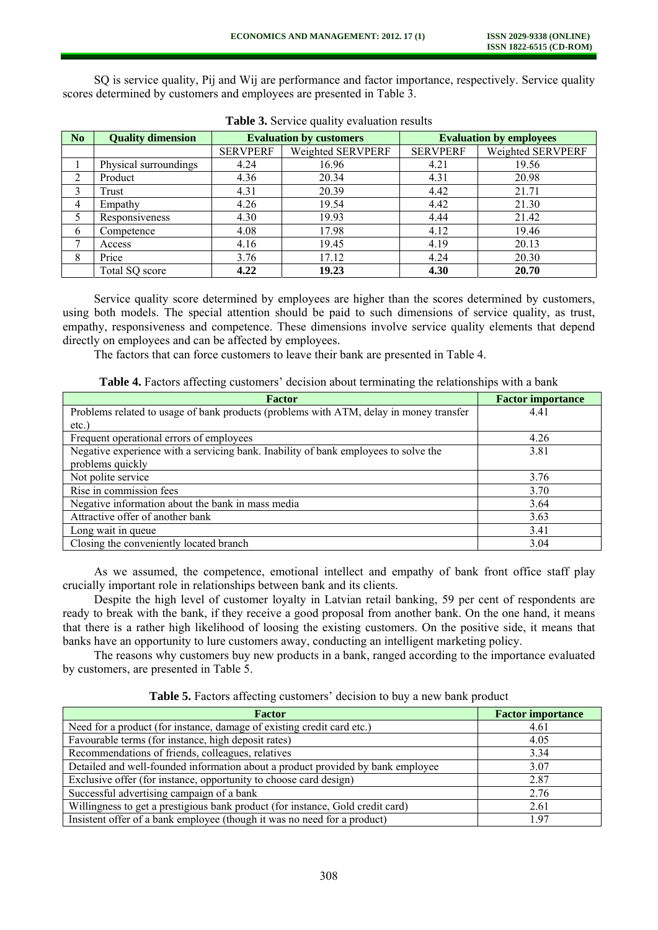SQ is service quality, Pij and Wij are performance and factor importance, respectively. Service quality scores determined by customers and employees are presented in Table 3.

| N <sub>o</sub> | <b>Quality dimension</b> | <b>Evaluation by customers</b> |                   |                 | <b>Evaluation by employees</b> |
|----------------|--------------------------|--------------------------------|-------------------|-----------------|--------------------------------|
|                |                          | <b>SERVPERF</b>                | Weighted SERVPERF | <b>SERVPERF</b> | Weighted SERVPERF              |
|                | Physical surroundings    | 4.24                           | 16.96             | 4.21            | 19.56                          |
| 2              | Product                  | 4.36                           | 20.34             | 4.31            | 20.98                          |
|                | Trust                    | 4.31                           | 20.39             | 4.42            | 21.71                          |
| 4              | Empathy                  | 4.26                           | 19.54             | 4.42            | 21.30                          |
|                | Responsiveness           | 4.30                           | 19.93             | 4.44            | 21.42                          |
| 6              | Competence               | 4.08                           | 17.98             | 4.12            | 19.46                          |
| $\mathbf{r}$   | Access                   | 4.16                           | 19.45             | 4.19            | 20.13                          |
| 8              | Price                    | 3.76                           | 17.12             | 4.24            | 20.30                          |
|                | Total SQ score           | 4.22                           | 19.23             | 4.30            | 20.70                          |

**Table 3.** Service quality evaluation results

Service quality score determined by employees are higher than the scores determined by customers, using both models. The special attention should be paid to such dimensions of service quality, as trust, empathy, responsiveness and competence. These dimensions involve service quality elements that depend directly on employees and can be affected by employees.

The factors that can force customers to leave their bank are presented in Table 4.

**Table 4.** Factors affecting customers' decision about terminating the relationships with a bank

| Factor                                                                                 | <b>Factor importance</b> |
|----------------------------------------------------------------------------------------|--------------------------|
| Problems related to usage of bank products (problems with ATM, delay in money transfer | 4.41                     |
| $etc.$ )                                                                               |                          |
| Frequent operational errors of employees                                               | 4.26                     |
| Negative experience with a servicing bank. Inability of bank employees to solve the    | 3.81                     |
| problems quickly                                                                       |                          |
| Not polite service                                                                     | 3.76                     |
| Rise in commission fees                                                                | 3.70                     |
| Negative information about the bank in mass media                                      | 3.64                     |
| Attractive offer of another bank                                                       | 3.63                     |
| Long wait in queue                                                                     | 3.41                     |
| Closing the conveniently located branch                                                | 3.04                     |

As we assumed, the competence, emotional intellect and empathy of bank front office staff play crucially important role in relationships between bank and its clients.

Despite the high level of customer loyalty in Latvian retail banking, 59 per cent of respondents are ready to break with the bank, if they receive a good proposal from another bank. On the one hand, it means that there is a rather high likelihood of loosing the existing customers. On the positive side, it means that banks have an opportunity to lure customers away, conducting an intelligent marketing policy.

The reasons why customers buy new products in a bank, ranged according to the importance evaluated by customers, are presented in Table 5.

|  | Table 5. Factors affecting customers' decision to buy a new bank product |  |  |  |
|--|--------------------------------------------------------------------------|--|--|--|
|--|--------------------------------------------------------------------------|--|--|--|

| <b>Factor</b>                                                                   | <b>Factor importance</b> |
|---------------------------------------------------------------------------------|--------------------------|
| Need for a product (for instance, damage of existing credit card etc.)          | 4.61                     |
| Favourable terms (for instance, high deposit rates)                             | 4.05                     |
| Recommendations of friends, colleagues, relatives                               | 3.34                     |
| Detailed and well-founded information about a product provided by bank employee | 3.07                     |
| Exclusive offer (for instance, opportunity to choose card design)               | 2.87                     |
| Successful advertising campaign of a bank                                       | 2.76                     |
| Willingness to get a prestigious bank product (for instance, Gold credit card)  | 2.61                     |
| Insistent offer of a bank employee (though it was no need for a product)        | 1.97                     |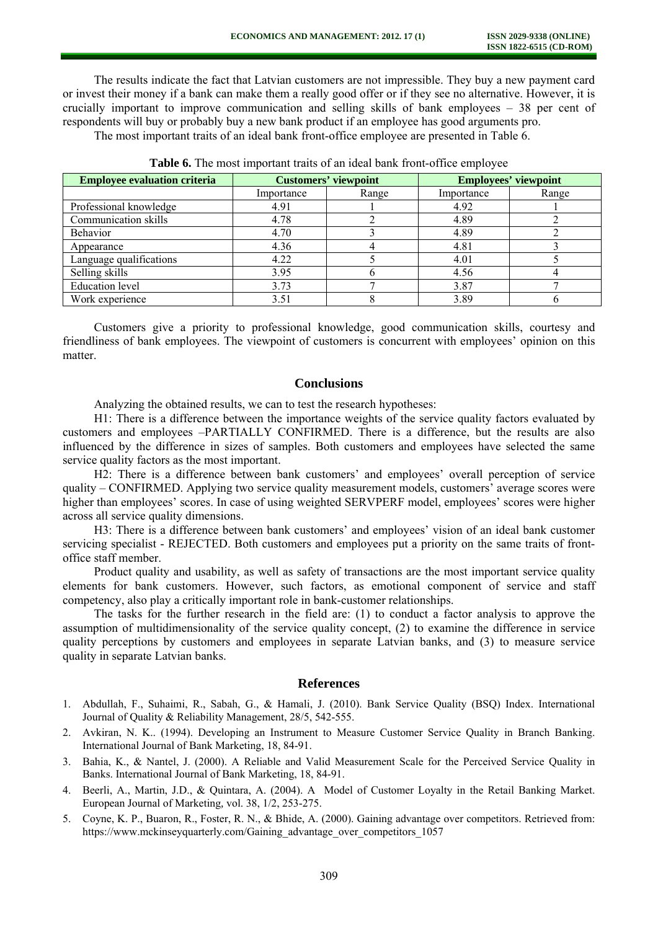The results indicate the fact that Latvian customers are not impressible. They buy a new payment card or invest their money if a bank can make them a really good offer or if they see no alternative. However, it is crucially important to improve communication and selling skills of bank employees – 38 per cent of respondents will buy or probably buy a new bank product if an employee has good arguments pro.

The most important traits of an ideal bank front-office employee are presented in Table 6.

| <b>Employee evaluation criteria</b> |            | <b>Customers' viewpoint</b> | <b>Employees' viewpoint</b> |       |  |  |
|-------------------------------------|------------|-----------------------------|-----------------------------|-------|--|--|
|                                     | Importance | Range                       | Importance                  | Range |  |  |
| Professional knowledge              | 4.91       |                             | 4.92                        |       |  |  |
| Communication skills                | 4.78       |                             | 4.89                        |       |  |  |
| Behavior                            | 4.70       |                             | 4.89                        |       |  |  |
| Appearance                          | 4.36       |                             | 4.81                        |       |  |  |
| Language qualifications             | 4.22       |                             | 4.01                        |       |  |  |
| Selling skills                      | 3.95       |                             | 4.56                        |       |  |  |
| <b>Education</b> level              | 3.73       |                             | 3.87                        |       |  |  |
| Work experience                     | 3.51       |                             | 3.89                        |       |  |  |

**Table 6.** The most important traits of an ideal bank front-office employee

Customers give a priority to professional knowledge, good communication skills, courtesy and friendliness of bank employees. The viewpoint of customers is concurrent with employees' opinion on this matter.

## **Conclusions**

Analyzing the obtained results, we can to test the research hypotheses:

H1: There is a difference between the importance weights of the service quality factors evaluated by customers and employees –PARTIALLY CONFIRMED. There is a difference, but the results are also influenced by the difference in sizes of samples. Both customers and employees have selected the same service quality factors as the most important.

H2: There is a difference between bank customers' and employees' overall perception of service quality – CONFIRMED. Applying two service quality measurement models, customers' average scores were higher than employees' scores. In case of using weighted SERVPERF model, employees' scores were higher across all service quality dimensions.

H3: There is a difference between bank customers' and employees' vision of an ideal bank customer servicing specialist - REJECTED. Both customers and employees put a priority on the same traits of frontoffice staff member.

Product quality and usability, as well as safety of transactions are the most important service quality elements for bank customers. However, such factors, as emotional component of service and staff competency, also play a critically important role in bank-customer relationships.

The tasks for the further research in the field are: (1) to conduct a factor analysis to approve the assumption of multidimensionality of the service quality concept, (2) to examine the difference in service quality perceptions by customers and employees in separate Latvian banks, and (3) to measure service quality in separate Latvian banks.

#### **References**

- 1. Abdullah, F., Suhaimi, R., Sabah, G., & Hamali, J. (2010). Bank Service Quality (BSQ) Index. International Journal of Quality & Reliability Management, 28/5, 542-555.
- 2. Avkiran, N. K.. (1994). Developing an Instrument to Measure Customer Service Quality in Branch Banking. International Journal of Bank Marketing, 18, 84-91.
- 3. Bahia, K., & Nantel, J. (2000). A Reliable and Valid Measurement Scale for the Perceived Service Quality in Banks. International Journal of Bank Marketing, 18, 84-91.
- 4. Beerli, A., Martin, J.D., & Quintara, A. (2004). A Model of Customer Loyalty in the Retail Banking Market. European Journal of Marketing*,* vol. 38, 1/2, 253-275.
- 5. Coyne, K. P., Buaron, R., Foster, R. N., & Bhide, A. (2000). Gaining advantage over competitors. Retrieved from: https://www.mckinseyquarterly.com/Gaining\_advantage\_over\_competitors\_1057